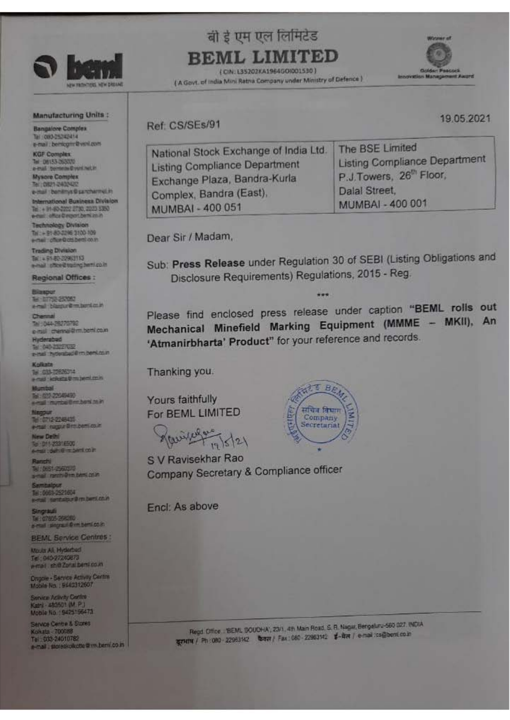

## **Manufacturing Units:**

**Bangalore Complex** Tel: 083-25242414 e-mail benicultr@vint.com

**KGF Complex** Tel: 08153-263020 **Mysore Complex** Tel: 0821-2402422

e-mail : benitrys@sanchermel.in International Business Division Tel: + 91-80-2222 2730, 2223 5350<br>e-mail: office Circum/Jermi zo.h

Technology Division Tal + 91-80-2296 3100-109 e-mail: chice@chi.beml.co.m

**Trading Division** Tel: + 91-80-22963113<br>e-mail: chice@tracing.hemi.co.in

**Regional Offices:** 

**BI DITSE 25700** al bismur@m.bonker.in

تعالما 1044-25270792 e-tail chennal@mt.beml.co.in

Hyderabad<br>Tel: (40-23227032 al hydenbad@m.bent.com

s au 1960au<br>1960 Media Montenan

22-22040490<br>Contract Brent Agent 2018

712-2245435 a negociambentosin

w Dethi :D11-23318500<br>si: defi:@im.bent.co.in

(AST-25601)<br>al renni@im.temi.com

tbalpur<br>9961-2521604<br>41. Sentalpur@m.berti.co.in

ingrauli<br>El 0705-35600 New Service Printers of Australia

**BEML Service Centres:** Moula Ali, Hyderbed<br>Tel: 040-27240873<br>e-mail: shiệ Zonai benêco in

Ongole - Service Activity Centre<br>Mobile No. 1940312607

Service Adlivity Centre<br>Katri - 483501 (M. P.)<br>Mobile No. : 9425156473

Service Centre & Stores Kokata - 700088<br>Tel: 033-24010782<br>e-mail: storeskolkotte trimubernico in

बी इं एम एल लिमिटेड **BEML LIMITED** 

(CIN: L35202KA1964GOID01530) (A Govt. of India Mini Ratna Company under Ministry of Defence)



Ref: CS/SEs/91

19.05.2021

| National Stock Exchange of India Ltd. | The BSE Limited                      |
|---------------------------------------|--------------------------------------|
| <b>Listing Compliance Department</b>  | <b>Listing Compliance Department</b> |
| Exchange Plaza, Bandra-Kurla          | P.J.Towers, 26th Floor,              |
| Complex, Bandra (East),               | Dalal Street,                        |
| MUMBAI - 400 051                      | <b>MUMBAI - 400 001</b>              |

Dear Sir / Madam,

Sub: Press Release under Regulation 30 of SEBI (Listing Obligations and Disclosure Requirements) Regulations, 2015 - Reg.

Please find enclosed press release under caption "BEML rolls out Mechanical Minefield Marking Equipment (MMME - MKII), An 'Atmanirbharta' Product" for your reference and records.

Thanking you.

Yours faithfully For BEML LIMITED

Rainice for 12/5/21

S V Ravisekhar Rao **Company Secretary & Compliance officer** 

Encl: As above



Regd. Office ... BEML SOUDHA, 23/1, 4th Main Road, S. R. Nagar, Bengeluru-560 027. INDIA दूरभाष / Ph 080 - 22963142 bara / Fax 080 - 22963142 ई-मेल / e-mail:cs@bent.co.in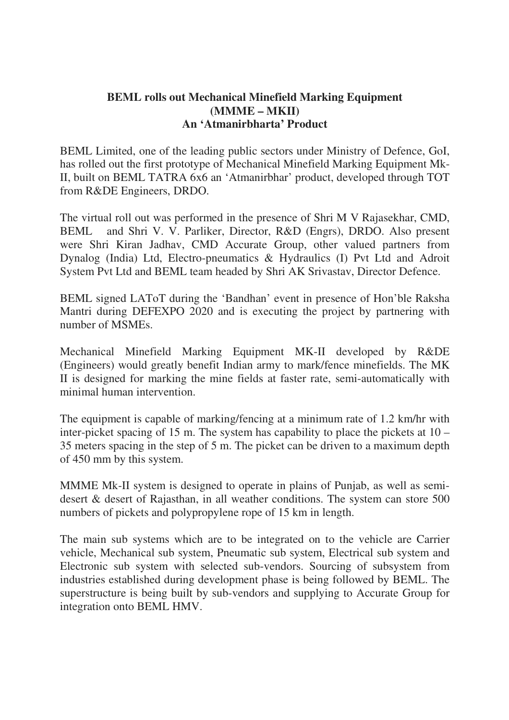## **BEML rolls out Mechanical Minefield Marking Equipment (MMME – MKII) An 'Atmanirbharta' Product**

BEML Limited, one of the leading public sectors under Ministry of Defence, GoI, has rolled out the first prototype of Mechanical Minefield Marking Equipment Mk-II, built on BEML TATRA 6x6 an 'Atmanirbhar' product, developed through TOT from R&DE Engineers, DRDO.

The virtual roll out was performed in the presence of Shri M V Rajasekhar, CMD, BEML and Shri V. V. Parliker, Director, R&D (Engrs), DRDO. Also present were Shri Kiran Jadhav, CMD Accurate Group, other valued partners from Dynalog (India) Ltd, Electro-pneumatics & Hydraulics (I) Pvt Ltd and Adroit System Pvt Ltd and BEML team headed by Shri AK Srivastav, Director Defence.

BEML signed LAToT during the 'Bandhan' event in presence of Hon'ble Raksha Mantri during DEFEXPO 2020 and is executing the project by partnering with number of MSMEs.

Mechanical Minefield Marking Equipment MK-II developed by R&DE (Engineers) would greatly benefit Indian army to mark/fence minefields. The MK II is designed for marking the mine fields at faster rate, semi-automatically with minimal human intervention.

The equipment is capable of marking/fencing at a minimum rate of 1.2 km/hr with inter-picket spacing of 15 m. The system has capability to place the pickets at 10 – 35 meters spacing in the step of 5 m. The picket can be driven to a maximum depth of 450 mm by this system.

MMME Mk-II system is designed to operate in plains of Punjab, as well as semidesert & desert of Rajasthan, in all weather conditions. The system can store 500 numbers of pickets and polypropylene rope of 15 km in length.

The main sub systems which are to be integrated on to the vehicle are Carrier vehicle, Mechanical sub system, Pneumatic sub system, Electrical sub system and Electronic sub system with selected sub-vendors. Sourcing of subsystem from industries established during development phase is being followed by BEML. The superstructure is being built by sub-vendors and supplying to Accurate Group for integration onto BEML HMV.